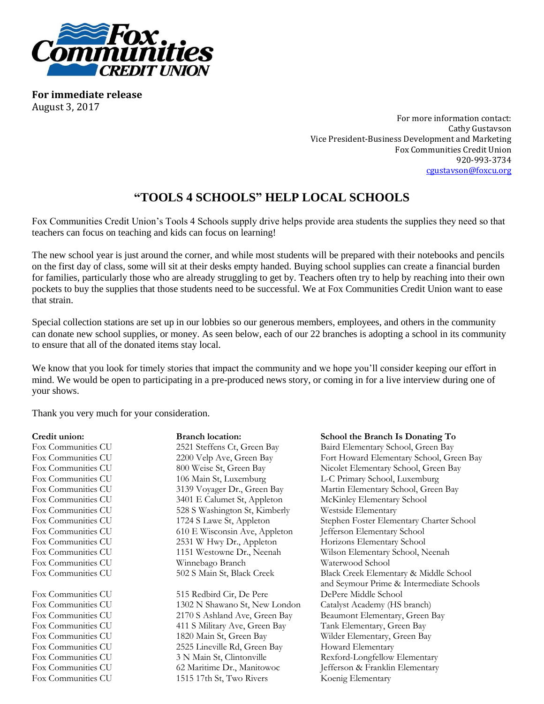

**For immediate release** August 3, 2017

> For more information contact: Cathy Gustavson Vice President-Business Development and Marketing Fox Communities Credit Union 920-993-3734 [cgustavson@foxcu.org](mailto:cgustavson@foxcu.org)

## **"TOOLS 4 SCHOOLS" HELP LOCAL SCHOOLS**

Fox Communities Credit Union's Tools 4 Schools supply drive helps provide area students the supplies they need so that teachers can focus on teaching and kids can focus on learning!

The new school year is just around the corner, and while most students will be prepared with their notebooks and pencils on the first day of class, some will sit at their desks empty handed. Buying school supplies can create a financial burden for families, particularly those who are already struggling to get by. Teachers often try to help by reaching into their own pockets to buy the supplies that those students need to be successful. We at Fox Communities Credit Union want to ease that strain.

Special collection stations are set up in our lobbies so our generous members, employees, and others in the community can donate new school supplies, or money. As seen below, each of our 22 branches is adopting a school in its community to ensure that all of the donated items stay local.

We know that you look for timely stories that impact the community and we hope you'll consider keeping our effort in mind. We would be open to participating in a pre-produced news story, or coming in for a live interview during one of your shows.

Thank you very much for your consideration.

| Credit union:      | <b>Branch location:</b>       | School the Branch Is Donating To         |
|--------------------|-------------------------------|------------------------------------------|
| Fox Communities CU | 2521 Steffens Ct, Green Bay   | Baird Elementary School, Green Bay       |
| Fox Communities CU | 2200 Velp Ave, Green Bay      | Fort Howard Elementary School, Green Bay |
| Fox Communities CU | 800 Weise St, Green Bay       | Nicolet Elementary School, Green Bay     |
| Fox Communities CU | 106 Main St, Luxemburg        | L-C Primary School, Luxemburg            |
| Fox Communities CU | 3139 Voyager Dr., Green Bay   | Martin Elementary School, Green Bay      |
| Fox Communities CU | 3401 E Calumet St, Appleton   | McKinley Elementary School               |
| Fox Communities CU | 528 S Washington St, Kimberly | Westside Elementary                      |
| Fox Communities CU | 1724 S Lawe St, Appleton      | Stephen Foster Elementary Charter School |
| Fox Communities CU | 610 E Wisconsin Ave, Appleton | Jefferson Elementary School              |
| Fox Communities CU | 2531 W Hwy Dr., Appleton      | Horizons Elementary School               |
| Fox Communities CU | 1151 Westowne Dr., Neenah     | Wilson Elementary School, Neenah         |
| Fox Communities CU | Winnebago Branch              | Waterwood School                         |
| Fox Communities CU | 502 S Main St, Black Creek    | Black Creek Elementary & Middle School   |
|                    |                               | and Seymour Prime & Intermediate Schools |
| Fox Communities CU | 515 Redbird Cir, De Pere      | DePere Middle School                     |
| Fox Communities CU | 1302 N Shawano St, New London | Catalyst Academy (HS branch)             |
| Fox Communities CU | 2170 S Ashland Ave, Green Bay | Beaumont Elementary, Green Bay           |
| Fox Communities CU | 411 S Military Ave, Green Bay | Tank Elementary, Green Bay               |
| Fox Communities CU | 1820 Main St, Green Bay       | Wilder Elementary, Green Bay             |
| Fox Communities CU | 2525 Lineville Rd, Green Bay  | Howard Elementary                        |
| Fox Communities CU | 3 N Main St, Clintonville     | Rexford-Longfellow Elementary            |
| Fox Communities CU | 62 Maritime Dr., Manitowoc    | Jefferson & Franklin Elementary          |
| Fox Communities CU | 1515 17th St, Two Rivers      | Koenig Elementary                        |